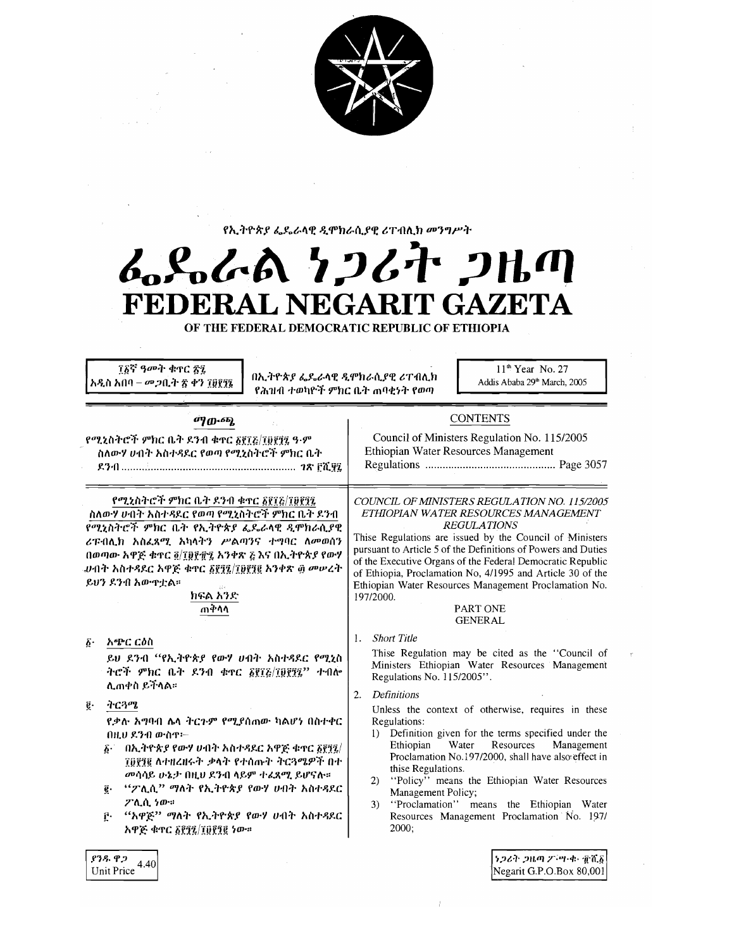

የኢትዮጵያ ፌዴራላዊ ዲሞክራሲያዊ ሪፐብሊክ መንግሥት

# んぺんへ フィオ フルの FEDERAL NEGARIT GAZETA

OF THE FEDERAL DEMOCRATIC REPUBLIC OF ETHIOPIA

፲፩ኛ ዓመት ቁኖር ፳፯ አዲስ አበባ – መጋቢት ፳ ቀን ፲፱፻፺፮

በኢትዮጵያ ፌዴራላዊ ዲሞክራሲያዊ ሪፐብሊክ የሕዝብ ተወካዮች ምክር ቤት ጠባቂነት የወጣ

11<sup>th</sup> Year No. 27 Addis Ababa 29<sup>th</sup> March, 2005

#### ச்ரமு. ந

የሚኒስትሮች ምክር ቤት ደንብ ቁተር δየ፣Շ/፣ፀየፃ፤ ዓ·ም ስለውሃ ሀብት አስተዳደር የወጣ የሚኒስትሮች ምክር ቤት 

Ethiopian Water Resources Management 

**CONTENTS** 

Council of Ministers Regulation No. 115/2005

#### የሚኒስትሮች ምክር ቤት ዶንብ ቁጥር ፩፻፲፩/፲፱፻፺፯

ስለውሃ ሁበት አስተዳደር የወጣ የሚኒስትሮች ምክር ቤት ደንብ የሚኒስትሮች ምክር ቤት የኢትዮጵያ ፌዴራላዊ ዲሞክራሲያዊ ሪፑብሊክ አስፈጻሚ አካላትን ሥልጣንና ተግባር ለመወሰን በወጣው አዋጅ ቁጥር ፬/፲፱፻፹፯ አንቀጽ ፩ እና በኢትዮጵያ የውሃ .ሀብት አስተዳደር አዋጅ ቁጥር <u>፩፻፺፯/፲፱፻፺</u>፪ አንቀጽ ፴ መሠረት ይህን ደንብ አውዋቷል።

#### ክፍል አንድ ጠቅሳሳ

#### አጭር ርዕስ  $\bm{b}$ .

ይህ ደንብ "የኢትዮጵያ የውሃ ሀብት አስተዳደር የሚኒስ ትሮች ምክር ቤት ደንብ ቁጥር ፩፻፲፩/፲፱፻፺፯" ተብሎ ሊጠቀስ ይችላል።

#### ትርጓሜ ĝ.

ያንዱ ዋጋ

Unit Price

 $4.40$ 

የቃሉ አግባብ ሌላ ትርጉም የሚያሰጠው ካልሆነ በስተቀር በዚህ ደንብ ውስጥ፦

- $\delta$  በኢትዮጵያ የውሃ ሀብት አስተዳደር አዋጅ ቁተር ፩፻፺፯/ ፲፬፻፺፪ ለተዘረዘሩት ቃላት የተሰጡት ትርጓሜዎች በተ መሳሳይ ሁኔታ በዚሀ ደንብ ላይም ተፈጸሚ ይሆናሉ።
- ĝ. "ፖሊሲ" ማለት የኢትዮጵያ የውሃ ሀብት አስተዳደር ፖሊሲ ነው።
- "አዋጅ" ማለት የኢትዮጵያ የውሃ ሀብት አስተዳደር Ŀ. አዋጅ ቁጥር ፩፻፺፯/፲፱፻፺፪ ነው።

COUNCIL OF MINISTERS REGULATION NO. 115/2005 ETHIOPIAN WATER RESOURCES MANAGEMENT **REGULATIONS** 

Thise Regulations are issued by the Council of Ministers pursuant to Article 5 of the Definitions of Powers and Duties of the Executive Organs of the Federal Democratic Republic of Ethiopia, Proclamation No, 4/1995 and Article 30 of the Ethiopian Water Resources Management Proclamation No. 197/2000.

#### PART ONE **GENERAL**

#### 1. Short Title

Thise Regulation may be cited as the "Council of Ministers Ethiopian Water Resources Management Regulations No. 115/2005".

#### 2. Definitions

Unless the context of otherwise, requires in these Regulations:

- Definition given for the terms specified under the  $\left| \right|$ Water Resources Management Ethiopian Proclamation No.197/2000, shall have also effect in thise Regulations.
- "Policy" means the Ethiopian Water Resources  $\mathbf{2}$ Management Policy;
- "Proclamation" means the Ethiopian Water 3) Resources Management Proclamation No. 197/ 2000;

ነጋሪት ጋዜጣ ፖችግ ቁጥሸል Negarit G.P.O.Box 80,001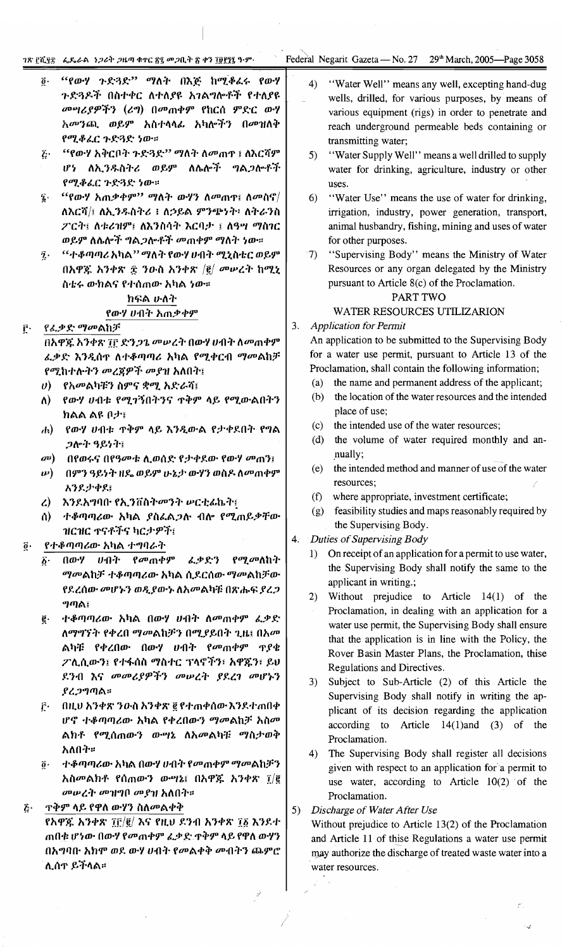- "የውሃ ጉድጓድ" ማለት በእጅ ከሚቆሬሩ የውሃ  $\vec{0}$ . ጉድጓዶች በስተቀር ለተለያዩ አገልግሎቶች የተለያዩ መሣሪያዎችን (ሪግ) በመጠቀም የከርሰ ምድር ውሃ አመንጪ ወይም አስተላላፌ አካሎችን በመዝለቅ የሚቆፈር ጉድጓድ ነው።
- "የውሃ አቅርቦት ጉድጓድ" ማለት ለመጠዋ ፤ ለእርሻም  $\hat{c}$  . ሆነ ለኢንዱስትሪ ወይም ለሴሎች ግልጋሎቶች የሚቆሬር ጉድጓድ ነው።
- $``$ የውሃ አጠቃቀም'' ማለት ውሃን ለመጠጥ፤ ለመስኖ $/$  $\mathbf{z}$ . ለእርሻ/፤ ለኢንዱስትሪ ፥ ለኃይል ምንጭነት፥ ለትራንስ ፖርት፤ ለቱሪዝም፤ ለእንስሳት እርባታ ፤ ለዓሣ ማስገር ወይም ለሴሎች ግልጋሎቶች መጠቀም ማለት ነው።
- "ተቆጣጣሪ አካል'' ማለት የውሃ ሀብት ሚኒስቴር ወይም  $\tilde{\mathbf{z}}$ . በአዋጁ አንቀጽ ፰ ንዑስ አንቀጽ  $|\vec{e}|$  መሠረት ከሚኒ ስቴሩ ውክልና የተሰጠው አካል ነው።

#### ክፍል ሁለት የውሃ ሀብት አጠቃቀም

#### የፌቃድ ማመልከቻ ŕ٠

በአዋጁ አንቀጽ ፲፫ ድን*ጋጌ መ*ሥረት በውሃ ሀብት ስመጠቀም ፌቃድ እንዲሰዋ ለተቆጣጣሪ አካል የሚቀርብ ማመልከቻ የሚከተሉትን መረጀዎች መያዝ አለበት፤

- $v$ ) የአመልካቹን ስምና ቋሚ አድራሻ፤
- ለ) የውሃ ሀብቱ የሚገኝበትንና ጥቅም ላይ የሚውልበትን ክልል ልዩ ቦታ፤
- የውሃ ሀብቱ ጥቅም ላይ እንዲውል የታቀደበት የግል  $\mathbf{d}$ ጋሎት ዓይነት፤
- መ) በየወሩና በየዓመቱ ሲወሰድ የታቀደው የውሃ መጠን፤
- **ιν) በምን ዓይነት ዘዴ ወይም ሁኔታ ውሃን ወስዶ ለመ**ጠቀም አንደታቀደ፤
- ረ) እንደአግባቡ የኢንቨስትመንት ሥርቲፊኬት፤
- ተቆጣጣሪው አካል ያስፌልጋሉ ብሎ የሚጠይቃቸው  $\mathbf{a}$ ዝርዝር ጥናቶችና ካርታዎች፤

#### የተቆጣጣሪው አካል ተግባራት  $\vec{o}$  .

- $\vec{b}$ .  $(10 - 7)$ *ህብት የመ*ጠቀም ሬ ቃድን *የሚመ*ለከት *ማመ*ልከቻ ተቆጣጣሪው አካል ሲደርሰው ማመልከቻው የደረሰው መሆኑን ወዲያውኑ ለአመልካቹ በጽሑፍ ያረጋ ግጣል፤
- ተቆጣጣሪው አካል በውሃ ሀብት ለመጠቀም ፌቃድ  $\vec{e}$  . ለማግኘት የቀረበ ማመልከቻን በሚያይበት ጊዜ፤ በአመ ልካቹ የቀረበው በውሃ ሀብት የመጠቀም ጥያቄ ፖሊሲውን፤ የተፋሰስ ማስተር ፕላኖችን፣ አዋጁን፣ ይህ ደንብ እና መመሪያዎችን መሠረት ያደረገ መሆኑን ያረጋግጣል።
- $\mathbf{f}$ . በዚህ አንቀጽ ንዑስ አንቀጽ ፪ የተጠቀሰው እንደተጠበቀ ሆኖ ተቆጣጣሪው አካል የቀረበውን ማመልከቻ አስመ ልክቶ የሚሰጠውን ውሣኔ ለአመልካቹ ማስታወቅ አለበት።
- ተቆጣጣሪው አካል በውሃ ሀብት የመጠቀም ማመልከቻን  $\vec{0}$  . አስመልክቶ የሰጠውን ውሣኔ፤ በአዋጁ አንቀጽ ፲/፪ መሠረት መዝግቦ መያዝ አለበት።

#### **ጥቅም ላይ የዋለ ውሃን ስለመልቀቅ**  $\tilde{c}$ .

የአዋጁ አንቀጽ ፲፫/፪/ እና የዚህ ደንብ አንቀጽ ፲፩ እንደተ ጠበቁ ሆነው በውሃ የመጠቀም ፌቃድ ዋቅም ላይ የዋለ ውሃን በአግባቡ አክሞ ወደ ውሃ ሀብት የመልቀቅ መብትን ጨምሮ ሊሰዋ ይችላል።

- $4)$ "Water Well" means any well, excepting hand-dug wells, drilled, for various purposes, by means of various equipment (rigs) in order to penetrate and reach underground permeable beds containing or transmitting water;
- "Water Supply Well" means a well drilled to supply 5) water for drinking, agriculture, industry or other uses.
- 6) "Water Use" means the use of water for drinking, irrigation, industry, power generation, transport, animal husbandry, fishing, mining and uses of water for other purposes.
- "Supervising Body" means the Ministry of Water  $\mathcal{T}$ Resources or any organ delegated by the Ministry pursuant to Article 8(c) of the Proclamation.

### PART TWO

#### WATER RESOURCES UTILIZARION

#### $3.$ **Application for Permit**

An application to be submitted to the Supervising Body for a water use permit, pursuant to Article 13 of the Proclamation, shall contain the following information;

- $(a)$ the name and permanent address of the applicant;
- the location of the water resources and the intended  $(b)$ place of use;
- the intended use of the water resources;  $(c)$
- $(d)$ the volume of water required monthly and annually;
- $(e)$ the intended method and manner of use of the water resources:
- $(f)$ where appropriate, investment certificate;
- (g) feasibility studies and maps reasonably required by the Supervising Body.

#### 4. Duties of Supervising Body

- 1) On receipt of an application for a permit to use water, the Supervising Body shall notify the same to the applicant in writing.;
- 2) Without prejudice to Article 14(1) of the Proclamation, in dealing with an application for a water use permit, the Supervising Body shall ensure that the application is in line with the Policy, the Rover Basin Master Plans, the Proclamation, thise Regulations and Directives.
- Subject to Sub-Article (2) of this Article the  $3)$ Supervising Body shall notify in writing the applicant of its decision regarding the application according to Article 14(1)and (3) of the Proclamation.
- The Supervising Body shall register all decisions  $4)$ given with respect to an application for a permit to use water, according to Article 10(2) of the Proclamation.

#### 5) Discharge of Water After Use

Without prejudice to Article  $13(2)$  of the Proclamation and Article 11 of thise Regulations a water use permit may authorize the discharge of treated waste water into a water resources.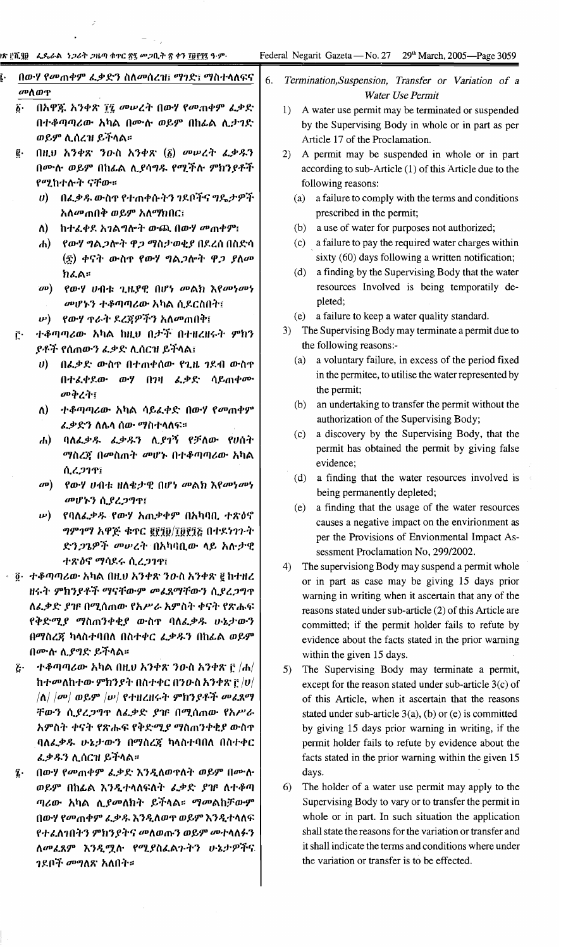$\overline{a}$ 

 $\frac{1}{\epsilon^2}$ 

 $\ddot{\phantom{a}}$ 

 $\vert$ .

 $\vec{\gamma}$ 

|                         | በውሃ የመጠቀም ፌቃድን ስለመሰረዝ፤ ማገድ፤ ማስተላለፍና                                                                        | 6.<br>Termination, Suspension, Transfer or Variation of a                                                 |
|-------------------------|------------------------------------------------------------------------------------------------------------|-----------------------------------------------------------------------------------------------------------|
|                         | መለወዋ                                                                                                       | Water Use Permit                                                                                          |
| $\vec{\delta}$ .        | በአዋጁ አንቀጽ ፲፯ መሥረት በውሃ የመጠቀም ፌቃድ                                                                            | A water use permit may be terminated or suspended<br>1)                                                   |
|                         | በተቆጣጣሪው አካል በሙሉ ወይም በከፊል ሲታገድ                                                                              | by the Supervising Body in whole or in part as per                                                        |
|                         | ወይም ሊሰረዝ ይችላል።                                                                                             | Article 17 of the Proclamation.                                                                           |
| ĝ.                      | በዚህ አንቀጽ ንውስ አንቀጽ $(\tilde{g})$ መሥረት ፌቃዱን                                                                  | A permit may be suspended in whole or in part<br>2)                                                       |
|                         | በሙሉ ወይም በከፊል ሊያሳግዱ የሚችሉ ምክንያቶች                                                                             | according to sub-Article (1) of this Article due to the                                                   |
|                         | የሚከተሉት ናቸው።                                                                                                | following reasons:                                                                                        |
|                         | በፌቃዱ ውስዋ የተጠቀሱትን ንደቦችና ግዴታዎች<br>$\boldsymbol{\theta}$                                                      | a failure to comply with the terms and conditions<br>(a)                                                  |
|                         | አለ <i>መ</i> ጠበቅ ወይም አለማክበር፤                                                                                | prescribed in the permit;                                                                                 |
|                         | ከተፈቀደ አገልግሎት ውጪ በውሃ መጠቀም፤<br>$\Lambda$                                                                     | (b) a use of water for purposes not authorized;                                                           |
|                         | የውሃ ግል <i>ጋ</i> ሎት ዋ <i>ጋ ማ</i> ስታወቂያ በደረሰ በስድሳ<br>$\bf{d}$                                                | (c) a failure to pay the required water charges within                                                    |
|                         | (፳) ቀናት ውስዋ የውሃ ግል <i>ጋ</i> ሎት ዋ <i>ጋ ያለሙ</i>                                                              | sixty (60) days following a written notification;                                                         |
|                         | ክፌል።                                                                                                       | a finding by the Supervising Body that the water<br>(d)<br>resources Involved is being temporatily de-    |
|                         | የውሃ ሀብቱ ጊዜያዊ በሆነ መልክ እየመነመነ<br>$\omega$                                                                    | pleted;                                                                                                   |
|                         | መሆኑን ተቆጣጣሪው አካል ሲደርስበት፤                                                                                    | (e) a failure to keep a water quality standard.                                                           |
|                         | <i>የውሃ ጥራት ደረጃዎችን አለመ</i> ጠበቅ፤<br>$\nu$ )                                                                  | The Supervising Body may terminate a permit due to<br>3)                                                  |
| ŗ٠                      | ተቆጣጣሪው አካል ከዚህ በታች በተዘረዘሩት ምክን<br><i>ያቶች የ</i> ሰጠውን ፌቃድ ሊሰርዝ ይችላል፤                                         | the following reasons:-                                                                                   |
|                         | በፌቃድ ውስዋ በተጠቀሰው የጊዜ ገደብ ውስዋ<br>$\boldsymbol{\theta}$                                                       | a voluntary failure, in excess of the period fixed<br>(a)                                                 |
|                         | በተፈቀደው ውሃ በገዛ ፌቃድ ሳይጠቀሙ                                                                                    | in the permitee, to utilise the water represented by                                                      |
|                         | መቅረት፤                                                                                                      | the permit;                                                                                               |
|                         | ተቆጣጣሪው አካል ሳይፈቀድ በውሃ የመጠቀም<br>ለ)                                                                           | an undertaking to transfer the permit without the<br>(b)                                                  |
|                         | <i>ፌቃድን ስ</i> ሌላ ሰው <i>ማስተ</i> ላለፍ።                                                                        | authorization of the Supervising Body;                                                                    |
|                         | ባለፌቃዱ ፌቃዱን ሲያገኝ የቻለው የሀሰት<br>$\bf{d}$                                                                      | a discovery by the Supervising Body, that the<br>(c)                                                      |
|                         | <i>ማስረጃ በመስጠት መ</i> ሆኑ በተቆጣጣሪው አካል                                                                         | permit has obtained the permit by giving false                                                            |
|                         | ሲረጋገዋ፤                                                                                                     | evidence;                                                                                                 |
|                         | የውሃ ሀብቱ ዘለቄታዊ በሆነ መልክ እየመነመነ<br>$\sigma$ <sup>p</sup> )                                                    | a finding that the water resources involved is<br>(d)                                                     |
|                         | መሆኑን ሲያረጋግጥ፤                                                                                               | being permanently depleted;                                                                               |
|                         | የባለፌቃዱ የውሃ አጠቃቀም በአካባቢ ተጽዕኖ<br>$\boldsymbol{\omega}$                                                       | a finding that the usage of the water resources<br>(e)                                                    |
|                         | ግምገማ አዋጅ ቁጥር ፪፻፺፱/፲፱፻፺፩ በተደነገጉት                                                                            | causes a negative impact on the envirionment as<br>per the Provisions of Envionmental Impact As-          |
|                         | ድን <i>ጋጌዎች መሠረት</i> በአካባቢው ላይ አሉታዊ                                                                         | sessment Proclamation No, 299/2002.                                                                       |
|                         | ተጽዕኖ ማሳደሩ ሲረ <i>ጋገ</i> ዋ፤                                                                                  | The supervisiong Body may suspend a permit whole<br>4)                                                    |
|                         | · ፬· ተቆጣጣሪው አካል በዚህ አንቀጽ ንውስ አንቀጽ ፪ ከተዘረ                                                                   | or in part as case may be giving 15 days prior                                                            |
|                         | ዘሩት ምክንያቶች ማናቸውም መፈጸማቸውን ሲያረጋግዋ                                                                            | warning in writing when it ascertain that any of the                                                      |
|                         | ለፌቃድ ያዡ በሚሰጠው የአሥራ አምስት ቀናት የጽሑፍ                                                                           | reasons stated under sub-article (2) of this Article are                                                  |
|                         | የቅድሚያ ማስጠንቀቂያ ውስዋ ባለፌቃዱ ሁኔታውን                                                                              | committed; if the permit holder fails to refute by                                                        |
|                         | በማስረጃ ካላስተባበለ በስተቀር ፈቃዱን በከፊል ወይም                                                                          | evidence about the facts stated in the prior warning                                                      |
|                         | በሙሉ ሲያግድ ይችላል።                                                                                             | within the given 15 days.                                                                                 |
| $\tilde{\mathcal{L}}$ . | $\bm{\psi}$ ቶቆጣጣሪው አካል በዚህ አንቀጽ ንውስ አንቀጽ ፫ /ሐ/                                                             | The Supervising Body may terminate a permit,<br>5)                                                        |
|                         | ከተመለከተው ምክንያት በስተቀር በንዑስ አንቀጽ ፫ $\left  v \right $                                                         | except for the reason stated under sub-article $3(c)$ of                                                  |
|                         | $\left \Lambda\right $ $\left \sigma\sigma\right $ ወይም $\left \boldsymbol{\nu}\right $ የተዘረዘሩት ምክንያቶች መፈጸማ | of this Article, when it ascertain that the reasons                                                       |
|                         | ቸውን ሲያረጋግዋ ለፌቃድ ያዡ በሚሰጠው የአሥራ<br>አምስት ቀናት የጽሑፍ የቅድሚያ ማስጠንቀቂያ ውስዋ                                           | stated under sub-article $3(a)$ , (b) or (e) is committed                                                 |
|                         | ባለፌቃዱ ሁኔታውን በማስረጃ ካላስተባበለ በስተቀር                                                                            | by giving 15 days prior warning in writing, if the<br>permit holder fails to refute by evidence about the |
|                         | ፌቃዱን ሊሰርዝ ይችላል።                                                                                            | facts stated in the prior warning within the given 15                                                     |
| Į.                      | በውሃ የመጠቀም ፌቃድ እንዲለወዋለት ወይም በሙሉ                                                                             | days.                                                                                                     |
|                         | ወይም በከፊል እንዲተላለፍለት ፌቃድ ያዡ ለተቆጣ                                                                             | The holder of a water use permit may apply to the<br>6)                                                   |
|                         | ጣሪው አካል ሊ <i>ያመ</i> ለክት ይችላል። <i>ማመ</i> ልከቻውም                                                              | Supervising Body to vary or to transfer the permit in                                                     |
|                         | በውሃ የመጠቀም ፌቃዱ እንዲለወዋ ወይም እንዲተላለፍ                                                                           | whole or in part. In such situation the application                                                       |
|                         | የተፈለገበትን ምክንያትና መለወጡን ወይም መተላለፉን                                                                           | shall state the reasons for the variation or transfer and                                                 |
|                         | ለመፈጸም እንዲሟሉ የሚያስፈልጉትን ሁኔታዎችና                                                                               | it shall indicate the terms and conditions where under                                                    |
|                         | <i>ገ</i> ደቦች መግለጽ አለበት።                                                                                    | the variation or transfer is to be effected.                                                              |
|                         |                                                                                                            |                                                                                                           |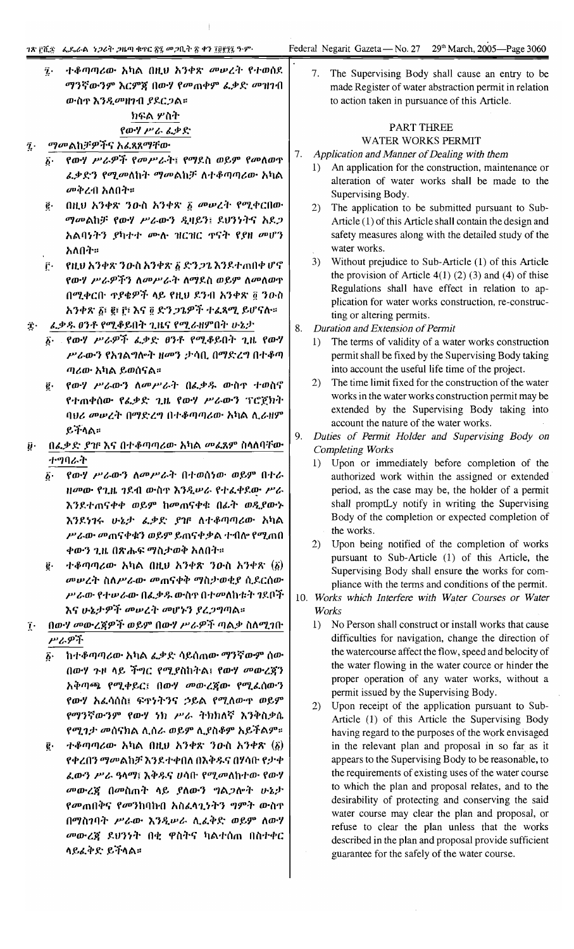ተቆጣጣሪው አካል በዚህ አንቀጽ መሥረት የተወሰደ  $\overline{\mathbf{z}}$ . The Supervising Body shall cause an entry to be ማንኛውንም እርምጃ በውሃ የመጠቀም ፌቃድ መዝገብ made Register of water abstraction permit in relation ውስዋ እንዲመዘንብ ያደርጋል። to action taken in pursuance of this Article. ክፍል ሦስተ PART THREE የውሃ ሥራ ፌቃድ **WATER WORKS PERMIT** *ማመ*ልከቻዎችና አፈጻጸማቸው į.  $\overline{7}$ . Application and Manner of Dealing with them የውሃ ሥራዎች የመሥራት፤ የማደስ ወይም የመስወዋ  $\boldsymbol{\delta}$ .  $1)$ An application for the construction, maintenance or ፈቃድን የሚመለከት ማመልከቻ ለተቆጣጣሪው አካል alteration of water works shall be made to the *መቅረ*ብ አለበት። Supervising Body. በዚህ አንቀጽ ንውስ አንቀጽ ፩ መሠረት የሚቀርበው  $\vec{e}$ 2) The application to be submitted pursuant to Sub-ማመልከቻ የውሃ ሥራውን ዲዛይን፤ ደሀንነትና አደጋ Article (1) of this Article shall contain the design and አልባነትን ያካተተ ሙሉ ዝርዝር ኖናት የያዘ መሆን safety measures along with the detailed study of the water works. አለበት። 3) Without prejudice to Sub-Article (1) of this Article የዚህ አንቀጽ ንውስ አንቀጽ ፩ ድን*ጋጌ* እንደተጠበቀ ሆኖ Ĉ٠ the provision of Article  $4(1)$  (2) (3) and (4) of thise የውሃ ሥራዎችን ለመሥራት ለማደስ ወይም ለመለወዋ Regulations shall have effect in relation to ap-በሚቀርቡ ኖያቄዎች ላይ የዚህ ደንብ አንቀጽ ፬ ንውስ plication for water works construction, re-construc-አንቀጽ ፩፣ ፪፣ ፫፣ እና ፬ ድን ጋጌዎች ተፈጻሚ ይሆናሉ። ting or altering permits. ፌቃዱ ፀንቶ የሚቆይበት ጊዜና የሚራዘምበት ሁኔታ  $\tilde{\mathbf{I}}$ . 8. Duration and Extension of Permit የውሃ ሥራዎች ፌቃድ ፀንቶ የሚቆይበት ጊዜ የውሃ  $\boldsymbol{\delta}$ . 1) The terms of validity of a water works construction ሥራውን የአገልግሎት ዘመን ታሳቢ በማድረግ በተቆጣ permit shall be fixed by the Supervising Body taking into account the useful life time of the project. ጣሪው አካል ይወሰናል።  $2)$ The time limit fixed for the construction of the water የውሃ ሥራውን ለመሥራት በፌቃዱ ውስዋ ተወስኖ  $\vec{e}$  . works in the water works construction permit may be የተጠቀሰው የፌቃድ ጊዜ የውሃ ሥራውን ፕሮጀክት extended by the Supervising Body taking into ባህሪ መሠረት በማድረግ በተቆጣጣሪው አካል ሲራዘም account the nature of the water works.  $e$   $f$   $\wedge$   $\wedge$   $\cdots$ 9. Duties of Permit Holder and Supervising Body on በፌቃድ ያገና እና በተቆጣጣሪው አካል መፌጸም ስላለባቸው  $\boldsymbol{\hat{y}}$  . **Completing Works** ተግባራት 1) Upon or immediately before completion of the የውሃ ሥራውን ለመሥራት በተወሰነው ወይም በተራ  $\hat{b}$ . authorized work within the assigned or extended ዘመው የጊዜ ገደብ ውስጥ እንዲሠራ የተፈቀደው ሥራ period, as the case may be, the holder of a permit shall promptLy notify in writing the Supervising እንደተጠናቀቀ ወይም ከመጠናቀቁ በፊት ወዲያውኑ Body of the completion or expected completion of እንደነገሩ ሁኔታ ፌቃድ ያገF ለተቆጣጣሪው አካል the works. ሥራው መጠናቀቁን ወይም ይጠናቀቃል ተብሎ የሚጠበ 2) Upon being notified of the completion of works ቀውን ጊዜ በጽሑፍ ማስታወቅ አለበት። pursuant to Sub-Article (1) of this Article, the  $+$ ቆጣጣሪው አካል በዚህ አንቀጽ ንውስ አንቀጽ  $(\underline{\delta})$ g. Supervising Body shall ensure the works for com-*መሠረት ስለሥራው መ*ጠናቀቅ ማስታወቂያ ሲደርሰው pliance with the terms and conditions of the permit. ሥራው የተሠራው በፌቃዱ ውስጥ በተመለከቱት ገደቦች 10. Works which Interfere with Water Courses or Water እና ሁኔታዎች መሠረት መሆኑን ያረጋግጣል። Works በውሃ መውረጀዎች ወይም በውሃ ሥራዎች ጣልቃ ስለሚገቡ 1) No Person shall construct or install works that cause  $\mathbf{r}$ . ሥራዎች difficulties for navigation, change the direction of the watercourse affect the flow, speed and belocity of ከተቆጣጣሪው አካል ፈቃድ ሳይሰጠው ማንኛውም ሰው ሽ• the water flowing in the water cource or hinder the በውሃ ጉዞ ላይ ችግር የሚያስከትል፤ የውሃ መውረጃን proper operation of any water works, without a አቅጣጫ የሚቀይር፤ በውሃ መውረጀው የሚፌሰውን permit issued by the Supervising Body. የውሃ አፌሳሰስ፤ ፍተነትንና ኃይል የሚለውጥ ወይም  $2)$ Upon receipt of the application pursuant to Sub-የማንኛውንም የውሃ ነክ ሥራ ትክክለኛ እንቅስቃሴ Article (1) of this Article the Supervising Body የሚገታ መሰናክል ሊሰራ ወይም ሊያስቆም አይችልም። having regard to the purposes of the work envisaged in the relevant plan and proposal in so far as it

> appears to the Supervising Body to be reasonable, to the requirements of existing uses of the water course

> to which the plan and proposal relates, and to the

desirability of protecting and conserving the said

water course may clear the plan and proposal, or

refuse to clear the plan unless that the works

described in the plan and proposal provide sufficient

guarantee for the safely of the water course.

ተቆጣጣሪው አካል በዚህ አንቀጽ ንውስ አንቀጽ  $(\underline{\delta})$ ê. የቀረበን ማመልከቻ እንደተቀበለ በእቅዱና በሃሳቡ የታቀ ፌውን ሥራ ዓላማ፤ እቅዱና ሀሳቡ የሚመለከተው የውሃ መውረጃ በመስጠት ላይ ያለውን ግልጋሎት ሁኔታ የመጠበቅና የመንከባኩበ አስፈሳጊነትን ግምት ውስዋ በማስገባት ሥራው እንዲሥራ ሲፌቅድ ወይም ለውሃ መውረጀ ደህንነት በቂ ዋስትና ካልተሰጠ በስተቀር ላይፌቅድ ይችላል።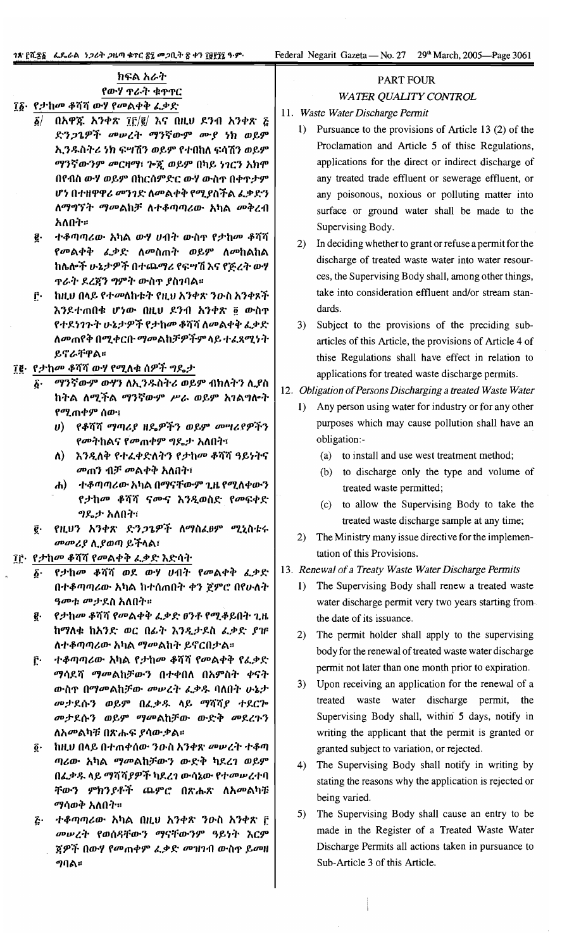Federal Negarit Gazeta - No. 27 29<sup>th</sup> March, 2005—Page 3061

|  | ክፍል አራተ      |  |  |
|--|--------------|--|--|
|  | የውሃ ጥራት ቁጥጥር |  |  |

# ፲፩· የታከመ ቆሻሻ ውሃ የመልቀቅ ፈቃድ

- $\tilde{\mathbf{g}}$  በአዋጁ አንቀጽ ፲፫/፪/ እና በዚሀ ደንብ አንቀጽ ፭ ድንጋጌዎች መሠረት ማንኛውም ሙያ ነክ ወይም ኢንዱስትሪ ነክ ፍሣሽን ወይም የተበከለ ፍሳሽን ወይም ማንኛውንም መርዛማ፣ ጕጇ ወይም በካይ ነገርን አከሞ በየብስ ውሃ ወይም በከርሰምድር ውሃ ውስዋ በቀዋታም ሆነ በተዘዋዋሪ መንገድ ለመልቀቅ የሚያስችል ፈቃድን ለማግኘት ማመልከቻ ለተቆጣጣሪው አካል መቅረብ አለበት።
- ፪· ተቆጣጣሪው አካል ውሃ ሀብት ውስዋ የታከመ ቆሻሻ የመልቀቅ ፌቃድ ለመስጠት ወይም ለመከልከል ከሌሎች ሁኔታዎች በተጨማሪ የፍሣሽ እና የጅረት ውሃ ጥራት ደረጀን ግምት ውስጥ ያስገባል።
- ፫· ከዚህ በላይ የተመለከቱት የዚህ አንቀጽ ንውስ አንቀጾች እንደተጠበቁ ሆነው በዚህ ደንብ አንቀጽ ፬ ውስዋ የተደነገጉት ሁኔታዎች የታከመ ቆሻሻ ለመልቀቅ ፈቃድ ለመጠየቅ በሚቀርቡ ማመልከቻዎችም ላይ ተፈጸሚነት ይኖራቸዋል።

### ፲፪· የታከመ ቆሻሻ ውሃ የሚለቁ ሰዎች ግዴታ

- ማንኛውም ውሃን ለኢንዱስትሪ ወይም ብክለትን ሊያስ  $\boldsymbol{\hat{b}}$  . ከትል ለሚችል ማንኛውም ሥራ ወይም አገልግሎት የሚጠቀም ሰው፣
	- υ) የቆሻሻ ማጣሪያ ዘዴዎችን ወይም መሣሪያዎችን የመትከልና የመጠቀም ግዴታ አለበት፣
	- ለ) እንዲለቅ የተፈቀድለትን የታከመ ቆሻሻ ዓይነትና *መ*ጠን ብቻ መልቀቅ አለበት፣
	- ሐ) ተቆጣጣሪው አካል በማናቸውም ጊዜ የሚለቀውን የታከመ ቆሻሻ ናሙና እንዲወስድ የመፍቀድ ግዴታ አለበት፣
- የዚህን አንቀጽ ድንጋጌዎች ለማስፈፀም ሚኒስቴሩ ë. መመሪያ ሲያወጣ ይችላል፣
- ፲፫· የታከመ ቆሻሻ የመልቀቅ ፌቃድ እድሳት
	- ፩· የታከመ ቆሻሻ ወደ ውሃ ሀብት የመልቀቅ ፈቃድ በተቆጣጣሪው አካል ከተሰጠበት ቀን ጀምሮ በየሁለት *ዓመቱ መታ*ደስ አለበት።
	- g የታከመ ቆሻሻ የመልቀቅ ፌቃድ ፀንቶ የሚቆይበት ጊዜ ከማለቁ ከአንድ ወር በፊት እንዲታደስ ፈቃድ ያዡ ለተቆጣጣሪው አካል ማመልከት ይኖርበታል።
	- ተቆጣጣሪው አካል የታከመ ቆሻሻ የመልቀቅ የፌቃድ Γ. *ማሳ*ደሻ *ማመ*ልከቻውን በተቀበለ በአምስት ቀናት ውስዋ በማመልከቻው መሠረት ፌቃዱ ባለበት ሁኔታ መታደሱን ወይም በፌቃዱ ላይ ማሻሻያ ተደርጕ መታደሱን ወይም ማመልከቻው ውድቅ መደረጉን ለአመልካቹ በጽሑፍ ያሳውቃል።
	- ከዚህ በላይ በተጠቀሰው ንውስ አንቀጽ መሠረት ተቆጣ  $\vec{\bm{\theta}}$  . ጣሪው አካል ማመልከቻውን ውድቅ ካደረገ ወይም በፌቃዱ ላይ ማሻሻያዎች ካደረገ ውሳኔው የተመሠረተባ ቸውን ምክንያቶች ጨምሮ በጽሑጽ ለአመልካቹ ማሳወቅ አለበት።
	- <u>ሯ· ተቆጣጣሪው አካል በዚሀ አንቀጽ ንዑስ አንቀጽ ፫</u> መሠረት የወሰዳቸውን ማናቸውንም ዓይነት እርም ጃዎች በውሃ የመጠቀም ፈቃድ መዝገብ ውስ<u>ዋ</u> ይመዘ ግባል።

# **PART FOUR**

### **WATER QUALITY CONTROL**

- 11. Waste Water Discharge Permit
	- 1) Pursuance to the provisions of Article 13 (2) of the Proclamation and Article 5 of thise Regulations, applications for the direct or indirect discharge of any treated trade effluent or sewerage effluent, or any poisonous, noxious or polluting matter into surface or ground water shall be made to the Supervising Body.
	- 2) In deciding whether to grant or refuse a permit for the discharge of treated waste water into water resources, the Supervising Body shall, among other things, take into consideration effluent and/or stream standards
	- 3) Subject to the provisions of the preciding subarticles of this Article, the provisions of Article 4 of thise Regulations shall have effect in relation to applications for treated waste discharge permits.

### 12. Obligation of Persons Discharging a treated Waste Water

- 1) Any person using water for industry or for any other purposes which may cause pollution shall have an obligation:-
	- (a) to install and use west treatment method;
	- (b) to discharge only the type and volume of treated waste permitted;
	- (c) to allow the Supervising Body to take the treated waste discharge sample at any time;
- 2) The Ministry many issue directive for the implementation of this Provisions.

#### 13. Renewal of a Treaty Waste Water Discharge Permits

- 1) The Supervising Body shall renew a treated waste water discharge permit very two years starting fromthe date of its issuance.
- 2) The permit holder shall apply to the supervising body for the renewal of treated waste water discharge permit not later than one month prior to expiration.
- 3) Upon receiving an application for the renewal of a treated waste water discharge permit, the Supervising Body shall, within 5 days, notify in writing the applicant that the permit is granted or granted subject to variation, or rejected.
- 4) The Supervising Body shall notify in writing by stating the reasons why the application is rejected or being varied.
- 5) The Supervising Body shall cause an entry to be made in the Register of a Treated Waste Water Discharge Permits all actions taken in pursuance to Sub-Article 3 of this Article.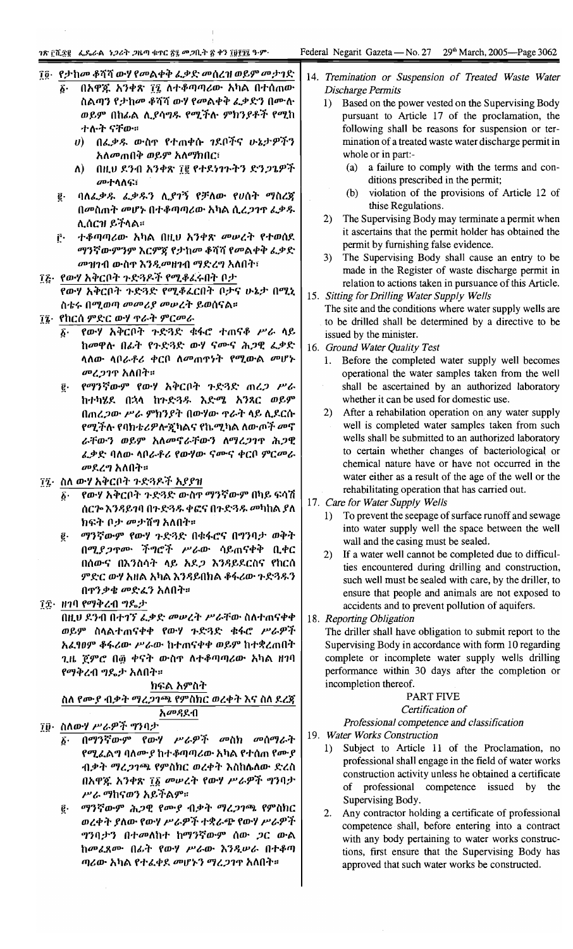#### ገጽ ፫ሺ፻፪ - ፌዴራል - ነጋሪት ጋዜጣ ቁጥር ፳፯ መጋቢት ፳ ቀን ፲፱፻፶፯ ዓ.ም

29<sup>th</sup> March, 2005-Page 3062 Federal Negarit Gazeta - No. 27

- ተሉት ናቸው። በፌቃዱ ውስዋ የተጠቀሱ ገደቦችና ሁኔታዎችን U) አለ*መ*ጠበቅ ወይም አለማክበር፣
- በዚህ ደንብ አንቀጽ ፲፪ የተደነገጉትን ድንጋጌዎች ለ) -መተሳለፍ፣
- ባለፌቃዱ ፌቃዱን ሊያገኝ የቻለው የሀሰት ማስረጃ ë. በመስጠት መሆኑ በተቆጣጣሪው አካል ሲረ*ጋገ*ዋ ፌቃ*ዱ* ሊሰርዝ ይችላል።
- ŕ٠ ተቆጣጣሪው አካል በዚህ አንቀጽ *መ*ሠረት የተወሰደ ማንኛውምንም እርምጃ የታከመ ቆሻሻ የመልቀቅ ፌቃድ መዝገብ ውስዋ እንዲመዘገብ ማድረግ አለበት፣
- ፲፩· የውሃ አቅርቦት ጉድጓዶች የሚቆፈሩበት ቦታ የውሃ አቅርቦት ኍድጓድ የሚቆፈርበት ቦታና ሁኔታ በሚኒ ስቴሩ በሚወጣ መመሪያ መሠረት ይወሰናል።
- ፲፮· የከርሰ ምድር ውሃ ዋራት ምርመራ
	- የውሃ አቅርቦት ጉድጓድ ቁፋሮ ተጠናቆ ሥራ ላይ δ. ከመዋሉ በፊት የጉድጓድ ውሃ ናሙና ሕጋዊ ፌቃድ ሳለው ሳቦራቶሪ ቀርቦ ለመጠዋነት የሚውል መሆኑ መረ*ጋገ*ዋ አለበት።
	- <u>፪</u>· የማንኛውም የውሃ አቅርቦት ጉድጓድ ጠረ*ጋ ሥራ* ከተካሄደ በኋላ ከጉድጓዱ እድሜ አንጸር ወይም በጠረ*ጋ*ው ሥራ ምክንያት በውሃው ዋራት ላይ ሲደርሱ የሚችሉ የባክቴሪዎሎኟካልና የኬሚካል ለውጦች መኖ ራቸውን ወይም አለመኖራቸውን ለማረጋገዋ ሕጋዊ ፌቃድ ባለው ሳበራቶሪ የውሃው ናሙና ቀርበ ምርመራ መደረግ አለበት።
- ፲፯· ስለ ውሃ አቅርቦት ጉድጓዶች አያያዝ
	- የውሃ አቅርቦት ጉድጓድ ውስኖ ማንኛውም በካይ ፍሳሽ  $\bm{b}$ . ሰርሎ እንዳይገባ በኍድጓዱ ቀፎና በኍድጓዱ መካከል ያለ ክፍት ቦታ መታሸግ አለበት።
	- ፪· ማንኛውም የውሃ ጉድጓድ በቁፋሮና በግንባታ ወቅት በሚያጋዋሙ ችግሮች ሥራው ሳይጠናቀቅ ቢቀር በሰውና በእንስሳት ላይ አደ*ጋ* እንዳይደርስና የከርሰ ምድር ውሃ አዘል አካል እንዳይበክል ቆፋሪው ጉድጓዱን በዋንቃቄ መድፈን አለበት።
- ፲፰• ዘገባ የማቅረብ ግዴታ

በዚህ ደንብ በተገኘ ፈቃድ መሠረት ሥራቸው ስለተጠናቀቀ ወይም ስላልተጠናቀቀ የውሃ ጉድጓድ ቁፋሮ ሥራዎች አፈፃዐም ቆፋሪው ሥራው ከተጠናቀቀ ወይም ከተቋረጠበት ጊዜ ጀምሮ በ፴ ቀናት ውስዋ ለተቆጣጣሪው አካል ዘገባ የማቅረብ ግዴታ አለበት።

ክፍል አምስት

ስለ የሙያ ብቃት ማረጋገጫ የምስክር ወረቀት እና ስለ ደረጃ አመዳደብ

- ፲፬· ስለውሃ ሥራዎች ግንባታ
	- በማንኛውም የውሃ ሥራዎች መስክ መስማራት 6∙ የሚፌልግ ባለሙ*ያ* ከተቆጣጣሪው አካል የተሰጠ የሙ*ያ* ብቃት ማረ*ጋገጫ የ*ምስክር ወረቀት እስከሴለው ድረስ በአዋጁ አንቀጽ ፲፩ መሠረት የውሃ ሥራዎች ግንባታ ሥራ ማከናወን አይችልም።
	- ማንኛውም ሕጋዊ የሙያ ብቃት ማረጋገጫ የምስክር ë. ወረቀት ያለው የውሃ ሥራዎች ተቋራጭ የውሃ ሥራዎች ግንባታን በተመለከተ ከማንኛውም ሰው *ጋ*ር ውል ከመፈጸሙ በፊት የውሃ ሥራው እንዲሠራ በተቆጣ ጣሪው አካል የተፈቀደ መሆኑን ማረጋገዋ አለበት።
- 14. Tremination or Suspension of Treated Waste Water Discharge Permits
	- 1) Based on the power vested on the Supervising Body pursuant to Article 17 of the proclamation, the following shall be reasons for suspension or termination of a treated waste water discharge permit in whole or in part:
		- a failure to comply with the terms and con- $(a)$ ditions prescribed in the permit;
		- violation of the provisions of Article 12 of  $(b)$ thise Regulations.
	- 2) The Supervising Body may terminate a permit when it ascertains that the permit holder has obtained the permit by furnishing false evidence.
	- The Supervising Body shall cause an entry to be  $3)$ made in the Register of waste discharge permit in relation to actions taken in pursuance of this Article.
- 15. Sitting for Drilling Water Supply Wells
	- The site and the conditions where water supply wells are to be drilled shall be determined by a directive to be issued by the minister.
- 16. Ground Water Quality Test
	- Before the completed water supply well becomes 1. operational the water samples taken from the well shall be ascertained by an authorized laboratory whether it can be used for domestic use.
	- 2) After a rehabilation operation on any water supply well is completed water samples taken from such wells shall be submitted to an authorized laboratory to certain whether changes of bacteriological or chemical nature have or have not occurred in the water either as a result of the age of the well or the rehabilitating operation that has carried out.
- 17. Care for Water Supply Wells
	- To prevent the seepage of surface runoff and sewage  $1)$ into water supply well the space between the well wall and the casing must be sealed.
	- 2) If a water well cannot be completed due to difficulties encountered during drilling and construction, such well must be sealed with care, by the driller, to ensure that people and animals are not exposed to accidents and to prevent pollution of aquifers.
- 18. Reporting Obligation

The driller shall have obligation to submit report to the Supervising Body in accordance with form 10 regarding complete or incomplete water supply wells drilling performance within 30 days after the completion or incompletion thereof.

### PART FIVE

#### Certification of

Professional competence and classification 19. Water Works Construction

- Subject to Article 11 of the Proclamation, no  $1)$ professional shall engage in the field of water works construction activity unless he obtained a certificate of professional competence issued by the Supervising Body.
- Any contractor holding a certificate of professional competence shall, before entering into a contract with any body pertaining to water works constructions, first ensure that the Supervising Body has approved that such water works be constructed.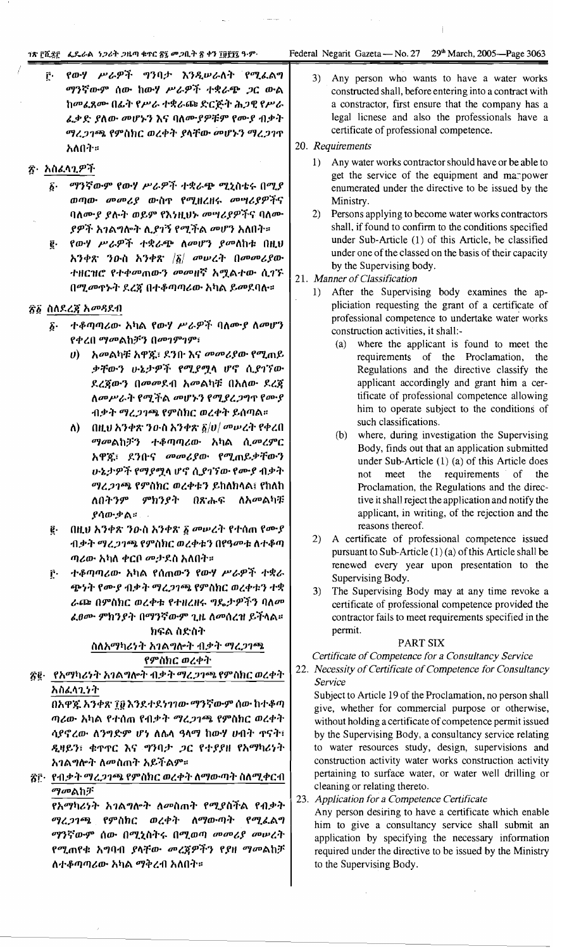#### 18 ፫ሺ፯፫ - ፌዴራል - ነጋሪት ጋዜጣ ቁጥር ፳፯ መጋቢት ፳ ቀን ፲፱፻፺፯ ዓ.ም.

የውሃ ሥራዎች ግንባታ እንዲሠራለት የሚፌልግ ŕ. ማንኛውም ሰው ከውሃ ሥራዎች ተቋራጭ ጋር ውል ከመፈጸሙ በፊት የሥራ ተቋራጩ ድርጅት ሕጋዊ የሥራ ፌቃድ ያለው መሆኑን እና ባለሙያዎቹም የሙያ ብቃት ማረጋገጫ የምስክር ወረቀት ያላቸው መሆኑን ማረጋገጥ አለበት።

# ፳· አስፈላጊዎች

- ማንኛውም የውሃ ሥራዎች ተቋራጭ ሚኒስቴሩ በሚያ б. ወጣው መመሪያ ውስጥ የሚዘረዘሩ መሣሪያዎችና ባለሙያ ያሉት ወይም የእነዚህኑ መሣሪያዎችና ባለሙ *ያዎች አገ*ልግሎት ሊ*ያገኝ የሚች*ል መሆን አለበት።
- የውሃ ሥራዎች ተቋራጭ ለመሆን ያመለከቱ በዚህ ĝ. አንቀጽ ንዑስ አንቀጽ  $|\tilde{g}|$  መሠረት በመመሪያው ተዘርዝሮ የተቀመጠውን መመዘኛ አሟልተው ሲገኙ በሚመጥኑት ደረጀ በተቆጣጣሪው አካል ይመደባሉ።

#### ፳፩ ስለዶረጃ አመዳደብ

- ተቆጣጣሪው አካል የውሃ ሥራዎች ባለሙያ ለመሆን δ. የቀረበ ማመልከቻን በመገምገም፣
	- ሀ) አመልካቹ አዋኟ፣ ደንቡ እና መመሪያው የሚጠይ ቃቸውን ሁኔታዎች የሚያሟላ ሆኖ ሲያገኘው ደረጀውን በመመደብ አመልካቹ በአለው ደረጀ ለመሥራት የሚችል መሆኑን የሚያረጋግጥ የሙያ ብቃት ማረ*ጋገጫ* የምስክር ወረቀት ይሰጣል።
	- ለ) በዚህ አንቀጽ ንውስ አንቀጽ  $\tilde{g}/\upsilon/\omega\upsilon\upsilon$ ረት የቀረበ ማመልከቻን ተቆጣጣሪው አካል ሲመረምር አዋጁ፣ ደንቡና መመሪያው የሚጠይቃቸውን ሁኔታዎች የማያሟላ ሆኖ ሲያገኘው የሙያ ብቃት ማረ*ጋገጫ የ*ምስክር ወረቀቱን ይከለክላል፤ የከለከ ለበትንም ምክንያት በጽሑፍ ለአመልካቹ ያሳውቃል።
- ፪· በዚህ አንቀጽ ንውስ አንቀጽ ፩ መሠረት የተሰጠ የሙያ ብቃት ማረጋገጫ የምስክር ወረቀቱን በየዓመቱ ለተቆጣ ጣሪው አካለ ቀርቦ መታደስ አለበት።
- ተቆጣጣሪው አካል የሰጠውን የውሃ ሥራዎች ተቋራ r. ጭነት የሙያ ብቃት ማረጋገጫ የምስክር ወረቀቱን ተቋ ራጮ በምስክር ወረቀቱ የተዘረዘሩ ግዴታዎችን ባለመ *ሬፀሙ ምክንያት በማን*ኛውም ጊዜ ለመሰረዝ ይችላል።

### ክፍል ስድስት ስለአማካሪነት አገልግሎት ብቃት ማረጋገጫ የምስክር ወረቀት

፳፪· የአማካሪነት አገልግሎት ብቃት ማረ*ጋገጫ* የምስክር ወረቀት አስፈላጊነት

በአዋጁ አንቀጽ ፲፱ እንደተደነገገው ማንኛውም ሰው ከተቆጣ ጣሪው አካል የተሰጠ የብቃት ማረ*ጋገ*ጫ የምስከር ወረቀት ሳያኖረው ለንግድም ሆነ ለሴላ ዓላማ ከውሃ ሀብት ዋናት፣ ዲዛይን፣ ቁጥጥር እና ግንባታ ጋር የተያያዘ የአማካሪነት አገልግሎት ለመስጠት አይችልም።

፳፫· የብቃት ማረ*ጋገጫ* የምስክር ወረቀት ለማውጣት ስለሚቀርብ ማመልከቻ

የአማካሪነት አገልግሎት ለመስጠት የሚያስችል የብቃት ማረጋገጫ የምስክር ወረቀት ለማውጣት የሚፌልግ ማንኛውም ሰው በሚኒስትሩ በሚወጣ መመሪያ መሠረት የሚጠየቁ አግባብ ያላቸው መረጃዎችን የያዘ *ማመ*ልከቻ ለተቆጣጣሪው አካል ማቅረብ አለበት።

 $3)$ Any person who wants to have a water works constructed shall, before entering into a contract with a constractor, first ensure that the company has a legal licnese and also the professionals have a certificate of professional competence.

#### 20. Requirements

- 1) Any water works contractor should have or be able to get the service of the equipment and manpower enumerated under the directive to be issued by the Ministry.
- 2) Persons applying to become water works contractors shall, if found to confirm to the conditions specified under Sub-Article (1) of this Article, be classified under one of the classed on the basis of their capacity by the Supervising body.

#### 21. Manner of Classification

- 1) After the Supervising body examines the appliciation requesting the grant of a certificate of professional competence to undertake water works construction activities, it shall:-
	- (a) where the applicant is found to meet the requirements of the Proclamation, the Regulations and the directive classify the applicant accordingly and grant him a certificate of professional competence allowing him to operate subject to the conditions of such classifications.
	- (b) where, during investigation the Supervising Body, finds out that an application submitted under Sub-Article (1) (a) of this Article does meet the requirements of the not Proclamation, the Regulations and the directive it shall reject the application and notify the applicant, in writing, of the rejection and the reasons thereof.
- 2) A certificate of professional competence issued pursuant to Sub-Article (1) (a) of this Article shall be renewed every year upon presentation to the Supervising Body.
- 3) The Supervising Body may at any time revoke a certificate of professional competence provided the contractor fails to meet requirements specified in the permit.

#### **PART SIX**

Certificate of Competence for a Consultancy Service

22. Necessity of Certificate of Competence for Consultancy Service

Subject to Article 19 of the Proclamation, no person shall give, whether for commercial purpose or otherwise, without holding a certificate of competence permit issued by the Supervising Body, a consultancy service relating to water resources study, design, supervisions and construction activity water works construction activity pertaining to surface water, or water well drilling or cleaning or relating thereto.

#### 23. Application for a Competence Certificate

Any person desiring to have a certificate which enable him to give a consultancy service shall submit an application by specifying the necessary information required under the directive to be issued by the Ministry to the Supervising Body.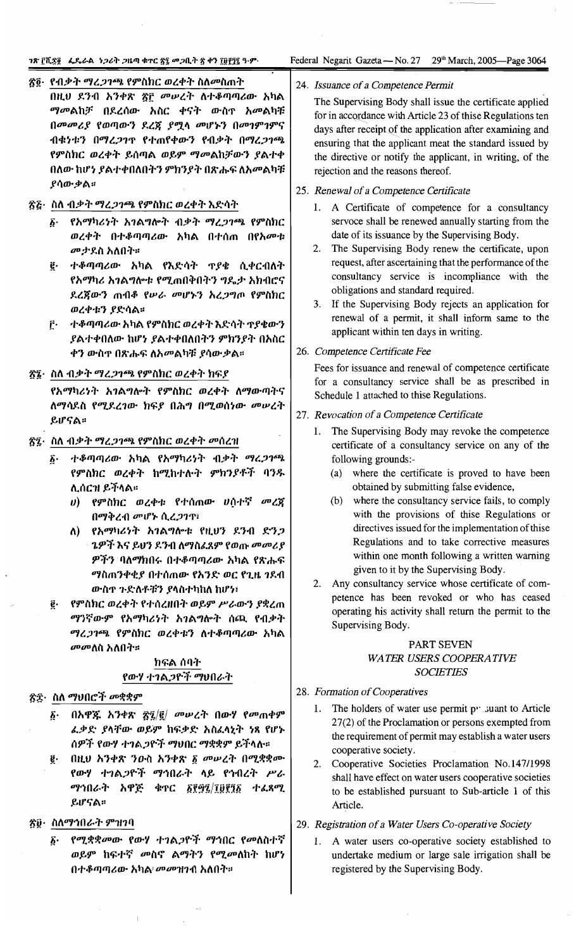#### ንጽ ፫ሺ፰፬ · ፌዴራል *ነጋ*ሪት *ጋ*ዜጣ ቁተር ፳፯ መጋቢት ፳ ቀን ፲፱፻፺፯ ዓ·ም·

Federal Negarit Gazeta -- No. 27 29<sup>th</sup> March, 2005—Page 3064

#### ጽ፬· የብቃት ማረ*ጋገጫ* የምስክር ወረቀት ስለ*መ*ስጠት

በዚህ ደንብ አንቀጽ ፳፫ መሠረት ለተቆጣጣሪው አካል *ማመ*ልከቻ በደረሰው አስር ቀናት ውስዋ አመልካቹ በመመሪያ የወጣውን ደረጃ ያሟላ መሆኑን በመገምገምና ብቁነቱን በማረጋገጥ የተጠየቀውን የብቃት በማረጋገጫ የምስክር ወረቀት ይሰጣል ወይም ማመልከቻውን ያልተቀ በለው ከሆነ ያልተቀበለበትን ምክንያት በጽሑፍ ለአመልካቹ ያሳውቃል።

#### ፳፩· ስለ ብቃት ማረ*ጋገጫ የም*ስክር ወረቀት እድሳት

- ፩· የአማካሪነት አገልግሎት ብቃት ማረጋገጫ የምስክር ወረቀት በተቆጣጣሪው አካል በተሰጠ በየአመቱ *መታ*ደስ አለበት።
- ፪· ተቆጣጣሪው አካል የእድሳት ጥያቄ ሲቀርብለት የአማካሪ አንልግሎቱ የሚጠበቅበትን ግዴታ አክብሮና ደረጀውን ጠብቆ የሥራ መሆኑን አረጋግጦ የምስክር ወረቀቱን ያድሳል።
- ፫· ተቆጣጣሪው አካል የምስክር ወረቀት እድሳት ጥያቄውን ያልተቀበለው ከሆነ ያልተቀበለበትን ምክንያት በአስር ቀን ውስዋ በጽሑፍ ለአመልካቹ ያሳውቃል፡፡

#### ፳፯· ስለ ብቃት ማረ*ጋገጫ* የምስክር ወረቀት ክፍያ

የአማካሪነት አገልግሎት የምስክር ወረቀት ለማውጣትና ለማሳደስ የሚደረገው ክፍያ በሕግ በሚወሰነው መሠረት ይሆናል።

#### ፳፯· ስለ ብቃት ማረ*ጋገ*ጫ የምስክር ወረቀት መስረዝ

- ተቆጣጣሪው አካል የአማካሪነት ብቃት ማረጋገጫ б. የምስክር ወረቀት ከሚከተሉት ምክንያቶች ባንዱ ሊሰርዝ ይችላል።
	- υ) የምስክር ወረቀቱ የተሰጠው ሀሰተኛ መረጃ በማቅረብ መሆኑ ሲረጋንጥ፣
	- ለ) የአማካሪነት አገልግሎቱ የዚህን ደንብ ድንጋ *ጌዎች እና ይህን ደን*ብ ለማስፈጸም የወጡ *መመሪ* ያ ዎችን ባለማክበሩ በተቆጣጣሪው አካል የጽሑፍ ማስጠንቀቂያ በተሰጠው የአንድ ወር የጊዜ ንደብ ውስዋ ጉድለቶቹን ያላስተካከለ ከሆነ፣
- የምስክር ወረቀት የተሰረዘበት ወይም ሥራውን ያቋረጠ ĝ. ማንኛውም የአማካሪነት አገልግሎት ሰጪ የብቃት ማረ*ጋገጫ የምስክ*ር ወረቀቱን ለተቆጣጣሪው አካል *መመ*ለስ አለበት።

#### ክፍል ሰባት የውሃ ተገልጋዮች ማህበራት

### ፳፰· ስለ ማህበሮች መቋቋም

- በአዋጁ አንቀጽ ፳፯/፪/ *መ*ሥረት በውሃ የመጠቀም ĥ. ፌቃድ ያላቸው ወይም ከፍቃድ አስፈላኒት ነጻ የሆኑ ሰዎች የውሃ ተገል*ጋ*ዮች ማህበር ማቋቋም ይችላሉ።
- በዚህ አንቀጽ ንዑስ አንቀጽ ፩ መሠረት በሚቋቋሙ g. የውሃ ተገልጋዮች ማኅበራት ላይ የኅብረት ሥራ ማኅበራት አዋጅ ቁጥር ፩፻፵፯/፲፱፻፺፩ ተፈጻሚ ይሆናል።

#### ፳፱· ስለማኅበራት ምዝንባ

*የሚቋቋመ*ው የውሃ ተገል*ጋ*ዮች *ማኅ*በር የመለስተኛ ĥ. ወይም ከፍተኛ መስኖ ልማትን የሚመለከት ከሆነ በተቆጣጣሪው አካል *መመ*ዝንብ አለበት።

#### 24. Issuance of a Competence Permit

The Supervising Body shall issue the certificate applied for in accordance with Article 23 of thise Regulations ten days after receipt of the application after examining and ensuring that the applicant meat the standard issued by the directive or notify the applicant, in writing, of the rejection and the reasons thereof.

#### 25. Renewal of a Competence Certificate

- 1. A Certificate of competence for a consultancy servoce shall be renewed annually starting from the date of its issuance by the Supervising Body.
- 2. The Supervising Body renew the certificate, upon request, after ascertaining that the performance of the consultancy service is incompliance with the obligations and standard required.
- 3. If the Supervising Body rejects an application for renewal of a permit, it shall inform same to the applicant within ten days in writing.

#### 26. Competence Certificate Fee

Fees for issuance and renewal of competence certificate for a consultancy service shall be as prescribed in Schedule 1 attached to thise Regulations.

#### 27. Revocation of a Competence Certificate

- 1. The Supervising Body may revoke the competence certificate of a consultancy service on any of the following grounds:-
	- (a) where the certificate is proved to have been obtained by submitting false evidence,
	- (b) where the consultancy service fails, to comply with the provisions of thise Regulations or directives issued for the implementation of thise Regulations and to take corrective measures within one month following a written warning given to it by the Supervising Body.
- 2. Any consultancy service whose certificate of competence has been revoked or who has ceased operating his activity shall return the permit to the Supervising Body.

#### PART SEVEN WATER USERS COOPERATIVE **SOCIETIES**

#### 28. Formation of Cooperatives

- 1. The holders of water use permit py suant to Article 27(2) of the Proclamation or persons exempted from the requirement of permit may establish a water users cooperative society.
- 2. Cooperative Societies Proclamation No.147/1998 shall have effect on water users cooperative societies to be established pursuant to Sub-article 1 of this Article.

#### 29. Registration of a Water Users Co-operative Society

A water users co-operative society established to undertake medium or large sale irrigation shall be registered by the Supervising Body.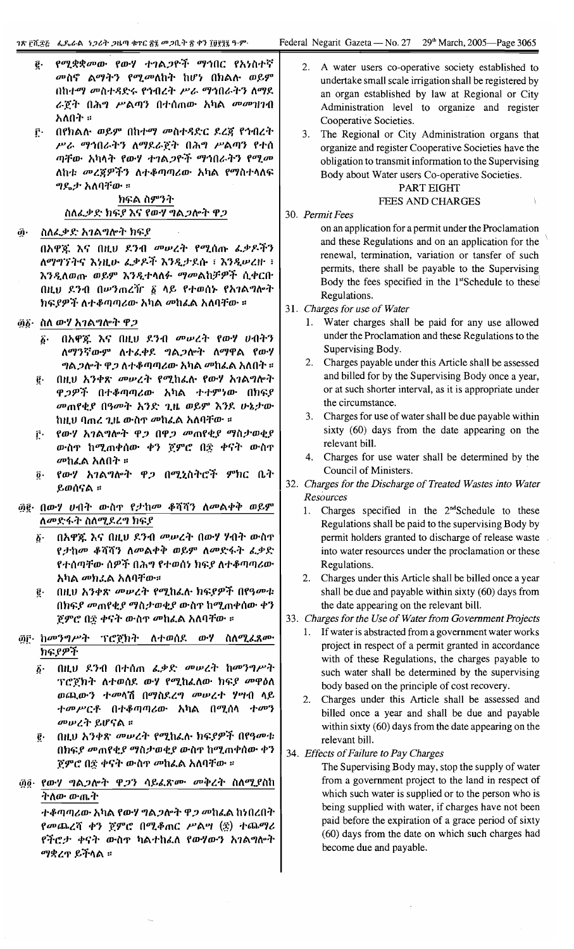$\tilde{z}$ 

|     | <i>የሚቋቋመው የውሃ ተገልጋዮች ማኅበር የአነስተኛ</i><br>ę.<br>መስኖ ልማትን የሚመለከት ከሆነ በክልሉ ወይም<br>በከተማ መስተዳድሩ የኅብረት ሥራ ማኅበራትን ለማደ<br>ራጀት በሕግ ሥልጣን በተሰጠው አካል <i>መመገ</i> በብ<br>አለበት ፡፡<br>በየክልሉ ወይም በከተማ መስተዳድር ደረጃ የኅብረት<br>$\mathbf{r}$<br>ሥራ ማኅበራትን ለማደራጀት በሕግ ሥልጣን የተሰ<br>ጣቸው አካላት የውሃ ተገልጋዮች ማኅበራትን የሚመ<br>ለከቱ መረጀዎችን ለተቆጣጣሪው አካል የማስተላለፍ<br>ግዴታ አለባቸው ።<br>ክፍል ስምንት<br>ስለፈቃድ ክፍያ እና የወሃ ግል <i>ጋ</i> ሎት ዋ <i>ጋ</i>                                                                   | A water users co-operative society established to<br>2.<br>undertake small scale irrigation shall be registered by<br>an organ established by law at Regional or City<br>Administration level to organize and register<br>Cooperative Societies.<br>The Regional or City Administration organs that<br>3.<br>organize and register Cooperative Societies have the<br>obligation to transmit information to the Supervising<br>Body about Water users Co-operative Societies.<br>PART EIGHT<br><b>FEES AND CHARGES</b><br>30. Permit Fees                |
|-----|---------------------------------------------------------------------------------------------------------------------------------------------------------------------------------------------------------------------------------------------------------------------------------------------------------------------------------------------------------------------------------------------------------------------------------------------------------------------|---------------------------------------------------------------------------------------------------------------------------------------------------------------------------------------------------------------------------------------------------------------------------------------------------------------------------------------------------------------------------------------------------------------------------------------------------------------------------------------------------------------------------------------------------------|
| று. | ስለፌቃድ አገልግሎት ክፍያ                                                                                                                                                                                                                                                                                                                                                                                                                                                    | on an application for a permit under the Proclamation                                                                                                                                                                                                                                                                                                                                                                                                                                                                                                   |
|     | በአዋጇ እና በዚህ ደንብ መሠረት የሚሰጡ ፌቃዶችን<br>ለማግኘትና እነዚሁ ፌቃዶች እንዲታደሱ ፣ እንዲሠረዙ ፣<br>እንዲለወጡ ወይም እንዲተላለፉ <i>ማመ</i> ልከቻዎች ሲቀርቡ<br>በዚህ ደንብ በሥንጠረሻር ፩ ላይ የተወሰኑ የአገልግሎት<br>ክፍያዎች ለተቆጣጣሪው አካል መከፌል አለባቸው ፡፡                                                                                                                                                                                                                                                                           | and these Regulations and on an application for the<br>renewal, termination, variation or tansfer of such<br>permits, there shall be payable to the Supervising<br>Body the fees specified in the 1st Schedule to these<br>Regulations.<br>31. Charges for use of Water                                                                                                                                                                                                                                                                                 |
|     | ፴፩· ስለ ውሃ አገልግሎት ዋ <i>ጋ</i>                                                                                                                                                                                                                                                                                                                                                                                                                                         | 1. Water charges shall be paid for any use allowed                                                                                                                                                                                                                                                                                                                                                                                                                                                                                                      |
|     | በአዋጁ እና በዚህ ደንብ መሠረት የውሃ ሀብትን<br>δ.<br>ለማንኛውም ለተፈቀደ ግል <i>ጋ</i> ሎት ለማዋል የውሃ<br><i>ግ</i> ል <i>ጋ</i> ሎት ዋ <i>ጋ</i> ለተቆጣጣሪው አካል መከፌል አለበት ።<br>በዚህ አንቀጽ መሠረት የሚከፌሉ የውሃ አገልግሎት<br>$\boldsymbol{e} \cdot$<br>ዋ <i>ጋዎች</i> በተቆጣጣሪው አካል ተተምነው በክፍያ<br>መጠየቂያ በዓመት አንድ ጊዜ ወይም እንደ ሁኔታው<br>ከዚህ ባጠረ ጊዜ ውስዋ መከፈል አለባቸው ።<br>የውሃ አገልግሎት ዋጋ በዋጋ መጠየቂያ ማስታወቂያ<br>ŕ٠<br>ውስዋ ከሚጠቀሰው ቀን ጀምሮ በጅ ቀናት ውስዋ<br>መከፌል አለበት ።<br>የውሃ አገልግሎት ዋጋ በሚኒስትሮች ምክር ቤት<br>$\vec{\bm{o}}$ .<br>ይወሰናል ፡፡ | under the Proclamation and these Regulations to the<br>Supervising Body.<br>2. Charges payable under this Article shall be assessed<br>and billed for by the Supervising Body once a year,<br>or at such shorter interval, as it is appropriate under<br>the circumstance.<br>3. Charges for use of water shall be due payable within<br>sixty (60) days from the date appearing on the<br>relevant bill.<br>4. Charges for use water shall be determined by the<br>Council of Ministers.<br>32. Charges for the Discharge of Treated Wastes into Water |
|     | ፴፪· በውሃ ሀብት ውስጥ የታከመ ቆሻሻን ለመልቀቅ ወይም                                                                                                                                                                                                                                                                                                                                                                                                                                 | Resources<br>Charges specified in the 2 <sup>nd</sup> Schedule to these<br>1.                                                                                                                                                                                                                                                                                                                                                                                                                                                                           |
|     | ለመድፋት ስለሚደረግ ክፍያ<br>በአዋጁ እና በዚህ ደንብ መሠረት በውሃ ሃብት ውስዋ<br>$\boldsymbol{\delta}$ .<br>የታከመ ቆሻሻን ለመልቀቅ ወይም ለመድፋት ፌቃድ<br>የተሰጣቸው ሰዎች በሕግ የተወሰነ ክፍያ ለተቆጣጣሪው<br>አካል መክፈል አለባቸው።<br>በዚህ አንቀጽ መሠረት የሚከፌሉ ክፍያዎች በየዓመቱ<br>$\epsilon$<br>በክፍያ መጠየቂያ ማስታወቂያ ውስጥ ከሚጠቀሰው ቀን<br>ጀምሮ በ፰ ቀናት ውስኖ መከፌል አለባቸው ።                                                                                                                                                                          | Regulations shall be paid to the supervising Body by<br>permit holders granted to discharge of release waste<br>into water resources under the proclamation or these<br>Regulations.<br>Charges under this Article shall be billed once a year<br>2.<br>shall be due and payable within sixty (60) days from<br>the date appearing on the relevant bill.<br>33. Charges for the Use of Water from Government Projects<br>If water is abstracted from a government water works<br>1.                                                                     |
|     | ፴፫· ከመንግሥት<br>ስለሚፈጸሙ<br>ፕሮጀክት<br>ለተወሰደ<br>ውሃ<br>ክፍያዎች<br>በዚህ ደንብ በተሰጠ ፌቃድ መሠረት ከመንግሥት<br>$\hat{\boldsymbol{\varrho}}$ .<br>ፕሮጀክት ለተወሰደ ውሃ የሚከፈለው ክፍያ መዋዕለ<br>ወጪውን ተመላሽ በማስደረግ መሠረተ ሃሣብ ላይ<br><i>ተመሥርቶ</i> በተቆጣጣሪው አካል በሚሰላ<br>ተመን<br>መሠረት ይሆናል ።<br>በዚህ አንቀጽ መሠረት የሚከፌሉ ክፍያዎች በየዓመቱ<br>$\vec{e}$ .<br>በክፍያ መጠየቂያ ማስታወቂያ ውስዋ ከሚጠቀሰው ቀን<br>ጀምሮ በ፳ ቀናት ውስኖ መከፌል አለባቸው ።                                                                                                | project in respect of a permit granted in accordance<br>with of these Regulations, the charges payable to<br>such water shall be determined by the supervising<br>body based on the principle of cost recovery.<br>Charges under this Article shall be assessed and<br>2.<br>billed once a year and shall be due and payable<br>within sixty (60) days from the date appearing on the<br>relevant bill.<br>34. Effects of Failure to Pay Charges<br>The Supervising Body may, stop the supply of water                                                  |
| @6. | የውሃ ግልጋሎት ዋጋን ሳይፈጽሙ መቅረት ስለሚያስከ<br>ትለው ውጤት<br>ተቆጣጣሪው አካል የውሃ ግል <i>ጋ</i> ሎት ዋ <i>ጋ መ</i> ከፌል ከነበረበት<br>የመጨረሻ ቀን ጀምሮ በሚቆጠር ሥልሣ (፰) ተጨማሪ<br>የችሮታ ቀናት ውስኖ ካልተከፌለ የውሃውን አገልግሎት<br>ማቋረጥ ይችላል ።                                                                                                                                                                                                                                                                           | from a government project to the land in respect of<br>which such water is supplied or to the person who is<br>being supplied with water, if charges have not been<br>paid before the expiration of a grace period of sixty<br>(60) days from the date on which such charges had<br>become due and payable.                                                                                                                                                                                                                                             |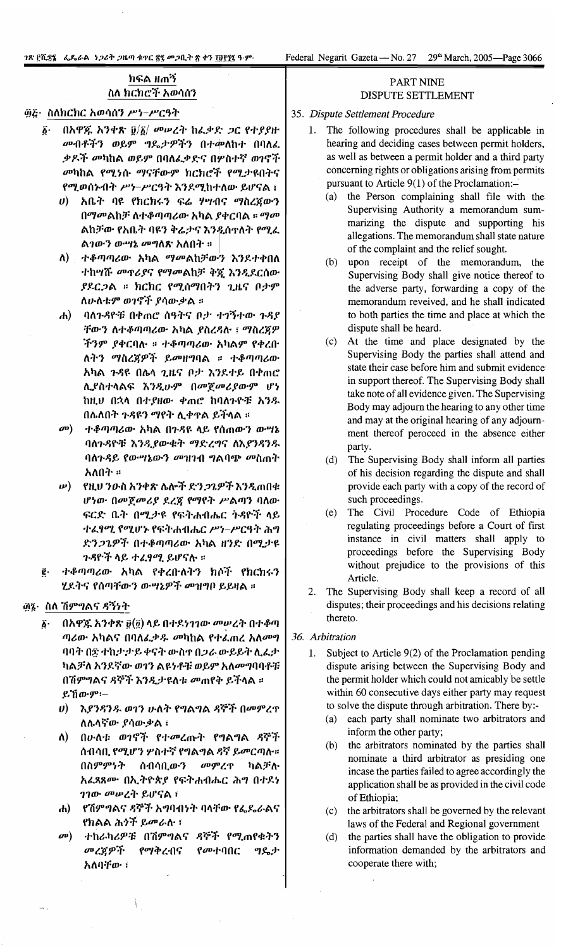### ክፍል ዘጠኝ ስለ ክርክሮች አወሳሰን

#### ፴፭· ስለክርክር አወሳሰን ሥነ-ሥርዓት

- በአዋጁ አንቀጽ  $\tilde{y}/\tilde{b}/\omega$ ሠረት ከፌቃድ ጋር የተያያዙ δ٠ መብቶችን ወይም ግዴታዎችን በተመለከተ በባለፈ ቃዶች መካከል ወይም በባለፌቃድና በሦስተኛ ወገኖች መካከል የሚነሱ ማናቸውም ክርክሮች የሚታዩበትና የሚወሰኑብት ሥነ-ሥርዓት እንደሚከተለው ይሆናል ፤
	- *ሀ*) አቤት ባዩ የክርክሩን ፍሬ ሃሣብና ማስረጀውን በማመልከቻ ለተቆጣጣሪው አካል ያቀርባል ። ማመ ልከቻው የአቤት ባዩን ቅሬታና እንዲሰጥለት የሚፈ ልገውን ውሣኔ መግለጽ አለበት ።
	- ለ) ተቆጣጣሪው አካል ማመልከቻውን እንደተቀበለ ተከሣሹ መዋሪያና የማመልከቻ ቅጇ እንዲደርሰው ያደርጋል ። ክርክር የሚሰማበትን ጊዜና ቦታም ለሁለቱም ወገኖች ያሳውቃል ።
	- ባለጉዳዮቹ በቀጠሮ ሰዓትና ቦታ ተገኝተው ጉዳያ  $\left| \phi \right\rangle$ ቸውን ለተቆጣጣሪው አካል ያስረዳሉ ፤ ማስረጀዎ ችንም ያቀርባሉ ። ተቆጣጣሪው አካልም የቀረቡ ለትን ማስረጀዎች ይመዘግባል ። ተቆጣጣሪው አካል ጉዳዩ በሴላ ጊዜና ቦታ እንደተይ በቀጠሮ ሊያስተላልፍ እንዲሁም በመጀመሪያውም ሆነ ከዚህ በኋላ በተያዘው ቀጠሮ ከባለጉዮቹ አንዱ በሴለበት ጉዳዩን ማየት ሊቀዋል ይችላል ።
	- $\boldsymbol{a}$ ተቆጣጣሪው አካል በጉዳዩ ላይ የሰጠውን ውሣኔ ባለጉዳዮቹ እንዲያውቁት ማድረግና ለእያንዳንዱ ባለጉዳይ የውሣኔውን መዝገብ ግልባጭ መስጠት አለበት ።
	- የዚህ ንውስ አንቀጽ ሌሎች ድን*ጋጌዎች* እንዲጠበቁ  $\boldsymbol{\nu}$ ) ሆነው በመጀመሪያ ደረጃ የማየት ሥልጣን ባለው ፍርድ ቤት በሚታዩ የፍትሐብሔር ትዳዮች ላይ ተፈፃሚ የሚሆኑ የፍትሐብሔር ሥነ-ሥርዓት ሕግ ድን*ጋጌዎች* በተቆጣጣሪው አካል ዘንድ በሚታዩ *ጉዳ*ዮች ላይ ተፈፃ*ሚ* ይሆናሉ ።
- ተቆጣጣሪው አካል የቀረቡለትን ክሶች የክርክሩን ሂደትና የሰጣቸውን ውሣኔዎች መዝግቦ ይይዛል ።

#### ፴፮· ስለ ሽምግልና ዳኝነት

- በአዋጁ አንቀጽ ፱(፬) ላይ በተደነገገው መሥረት በተቆጣ δ. ጣሪው አካልና በባለፌቃዱ መካከል የተፈጠረ አለመግ ባባት በ፰ ተከታታይ ቀናት ውስኖ በጋራ ውይይት ሊፌታ ካልቻለ አንደኛው ወገን ልዩነቶቹ ወይም አለመግባባቶቹ በሽምግልና ዳኞች እንዲታዩለቱ መጠየቅ ይችላል ። ይኸውም፡-
	- $\boldsymbol{\theta}$ እያንዳንዱ ወገን ሁለት የግልግል ዳኞች በመምረዋ ለሴላኛው ያሳውቃል ፣
	- $\Lambda$ በሁለቱ ወገኖች የተመረጡት የግልግል ዳኞች ሰብሳቢ የሚሆን ሦስተኛ የግልግል ዳኛ ይመርጣሉ። መምረጥ በስምምንት ሰብሳቢውን ካልቻሉ አፈጻጸሙ በኢትዮጵያ የፍትሐብሔር ሕግ በተደነ ገገው <sup>መ</sup>ሥረት ይሆናል ፣
	- የሽምግልና ዳኞች አግባብነት ባላቸው የፌዴራልና  $\mathbf{d}$ የክልል ሕ*ጎች ይመራ*ሉ ፣
	- $\boldsymbol{\sigma}$ ተከራካሪዎቹ በሽምግልና ዳኞች የሚጠየቁትን መረጀዎች የማቅረብና የመተባበር ግዴታ አለባቸው ፣

#### PART NINE DISPUTE SETTLEMENT

- 35. Dispute Settlement Procedure
	- $1.$ The following procedures shall be applicable in hearing and deciding cases between permit holders, as well as between a permit holder and a third party concerning rights or obligations arising from permits pursuant to Article 9(1) of the Proclamation:-
		- (a) the Person complaining shall file with the Supervising Authority a memorandum summarizing the dispute and supporting his allegations. The memorandum shall state nature of the complaint and the relief sought.
		- (b) upon receipt of the memorandum, the Supervising Body shall give notice thereof to the adverse party, forwarding a copy of the memorandum reveived, and he shall indicated to both parties the time and place at which the dispute shall be heard.
		- $(c)$ At the time and place designated by the Supervising Body the parties shall attend and state their case before him and submit evidence in support thereof. The Supervising Body shall take note of all evidence given. The Supervising Body may adjourn the hearing to any other time and may at the original hearing of any adjournment thereof peroceed in the absence either party.
		- (d) The Supervising Body shall inform all parties of his decision regarding the dispute and shall provide each party with a copy of the record of such proceedings.
		- (e) The Civil Procedure Code of Ethiopia regulating proceedings before a Court of first instance in civil matters shall apply to proceedings before the Supervising Body without prejudice to the provisions of this Article.
	- The Supervising Body shall keep a record of all 2. disputes; their proceedings and his decisions relating thereto.
- 36. Arbitration
	- $1.$ Subject to Article 9(2) of the Proclamation pending dispute arising between the Supervising Body and the permit holder which could not amicably be settle within 60 consecutive days either party may request to solve the dispute through arbitration. There by:-
		- (a) each party shall nominate two arbitrators and inform the other party;
		- the arbitrators nominated by the parties shall  $(b)$ nominate a third arbitrator as presiding one incase the parties failed to agree accordingly the application shall be as provided in the civil code of Ethiopia;
		- the arbitrators shall be governed by the relevant  $(c)$ laws of the Federal and Regional government
		- $(d)$ the parties shall have the obligation to provide information demanded by the arbitrators and cooperate there with;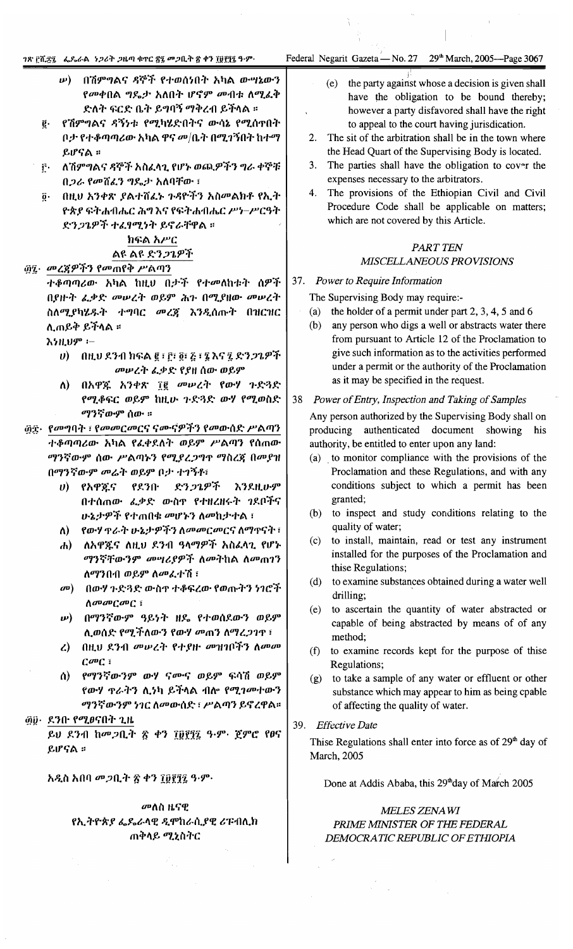#### ገጽ ፫ሺ፻፯ - ፌዴራል - ነጋሪት ጋዜጣ ቁጥር ፳፯ መጋቢት ፳ ቀን ፲፱፻፺፯ ዓ-ም

29<sup>th</sup> March, 2005-Page 3067

- በሽምግልና ዳኞች የተወሰነበት አካል ውሣኔውን  $\boldsymbol{\mu}$ ) የመቀበል ግዴታ አለበት ሆኖም መብቱ ለሚፈቅ ድለት ፍርድ ቤት ይግባኝ ማቅረብ ይችላል ።
- የሽምግልና ዳኝነቱ የሚካሄድበትና ውሳኔ የሚሰጥበት ë. ቦታ የተቆጣጣሪው አካል ዋና መ/ቤት በሚገኝበት ከተማ ይሆናል ።
- ለሽምግልና ዳኞች አስፈላጊ የሆኑ ወጪዎችን ግራ ቀኞቹ  $\mathbf{r}$ . በ*ጋራ የመ*ሸፈን ግዴታ አለባቸው ፣
	- በዚህ አንቀጽ ያልተሸፈኑ ጉዳዮችን አስመልክቶ የኢት  $\overline{0}$ . ዮጵያ ፍትሐብሔር ሕግእና የፍትሐብሔር ሥነ-ሥርዓት ድንጋጌዎች ተፈፃሚነት ይኖራቸዋል ።

# ክፍል አሥር ልዩ ልዩ ድን*ጋጌዎች*

## ፴፯· መረጃዎችን የመጠየቅ ሥልጣን

ተቆጣጣሪው አካል ከዚህ በታች የተመለከቱት ሰዎች በያዙት ፌቃድ መሠረት ወይም ሕጉ በሚያዘው መሠረት ስለሚያካሄዱት ተግባር መረጀ እንዲሰጡት በዝርዝር ሊጠይቅ ይችላል ።

እነዚህም ፦

- $\bm{v}$ ) በዚህ ደንብ ክፍል ፪ ፣ ፫፣ ፬፣ ፭ ፣ ፯ እና ፯ ድን*ጋጌዎች* መሠረት ፌቃድ የያዘ ሰው ወይም
- ለ) በአዋጁ አንቀጽ ፲፪ መሥረት የውሃ ጉድጓድ የሚቆፍር ወይም ከዚሁ ጉድጓድ ውሃ የሚወስድ ማንኛውም ሰው ።
- ፴፰· *የመግ*ባት ፣ የመመርመርና ናሙናዎችን የመውሰድ ሥልጣን ተቆጣጣሪው አካል የፌቀደለት ወይም ሥልጣን የሰጠው ማንኛውም ሰው ሥልጣኑን የሚያረጋግጥ ማስረጀ በመያዝ በማንኛውም መሬት ወይም ቦታ ተገኝቶ፣
	- ድን*ጋጌዎች*  $v$ ) የአዋጁና የደንበ· እንደዚሁም በተሰጠው ፌቃድ ውስዋ የተዘረዘሩት ንደቦችና ሁኔታዎች የተጠበቁ መሆኑን ለመከታተል ፣
	- ለ) የውሃ ዋራት ሁኔታዎችን ለመመርመርና ለማዋናት ፣
	- ለአዋጇና ለዚህ ደንብ ዓላማዎች አስፈላጊ የሆኑ  $\bf{d}$ ማንኛቸውንም መሣሪያዎች ለመትከል ለመጠገን ለማንበብ ወይም ለመፈተሽ ፣
	- መ) በውሃ ጉድጓድ ውስዋ ተቆፍረው የወጡትን ነገሮች  $\Lambda$ anan $C$ an $C$  i
	- **ω) በማንኛውም ዓይነት ዘዴ የተወሰደውን ወይም** ሊወሰድ የሚችለውን የውሃ መጠን ለማረጋገዋ ፣
	- ረ) በዚህ ደንብ መሠረት የተያዙ መዝገቦችን ለመመ  $C^{op}$  $C$
	- ሰ) የማንኛውንም ውሃ ናሙና ወይም ፍሳሽ ወይም የውሃ **ዋራትን ሲ**ነካ ይችላል ብሎ የሚገመተውን ማንኛውንም ነገር ለመውሰድ ፣ ሥልጣን ይኖረዋል።

#### ፴፱· ደንቡ የሚፀናበት ጊዜ

ይህ ደንብ ከመጋቢት ጽ ቀን ፲፱፻፺፯ ዓ·ም· ጀምሮ የፀና ይሆናል ፡፡

አዲስ አበባ መጋቢት ፳ ቀን ፲፱፻፺፯ ዓ·ም·

### መለስ ዜናዊ የኢትዮጵያ ፌዴራላዊ ዲሞከራሲያዊ ሪፑብሊክ ጠቅላይ ሚኒስትር

- the party against whose a decision is given shall  $(e)$ have the obligation to be bound thereby; however a party disfavored shall have the right to appeal to the court having jurisdication.
- 2. The sit of the arbitration shall be in the town where the Head Quart of the Supervising Body is located.
- $3.$ The parties shall have the obligation to cover the expenses necessary to the arbitrators.
- 4. The provisions of the Ethiopian Civil and Civil Procedure Code shall be applicable on matters; which are not covered by this Article.

### **PART TEN** MISCELLANEOUS PROVISIONS

#### $37.$ Power to Require Information

The Supervising Body may require:-

- the holder of a permit under part 2, 3, 4, 5 and 6  $(a)$
- (b) any person who digs a well or abstracts water there from pursuant to Article 12 of the Proclamation to give such information as to the activities performed under a permit or the authority of the Proclamation as it may be specified in the request.

#### 38 Power of Entry, Inspection and Taking of Samples

Any person authorized by the Supervising Body shall on producing authenticated document showing his authority, be entitled to enter upon any land:

- (a) to monitor compliance with the provisions of the Proclamation and these Regulations, and with any conditions subject to which a permit has been granted;
- (b) to inspect and study conditions relating to the quality of water;
- (c) to install, maintain, read or test any instrument installed for the purposes of the Proclamation and thise Regulations;
- (d) to examine substances obtained during a water well drilling;
- (e) to ascertain the quantity of water abstracted or capable of being abstracted by means of of any method:
- (f) to examine records kept for the purpose of thise Regulations;
- (g) to take a sample of any water or effluent or other substance which may appear to him as being cpable of affecting the quality of water.
- 39. Effective Date

Thise Regulations shall enter into force as of 29<sup>th</sup> day of March, 2005

Done at Addis Ababa, this 29th day of March 2005

#### MELES ZENAWI PRIME MINISTER OF THE FEDERAL DEMOCRATIC REPUBLIC OF ETHIOPIA